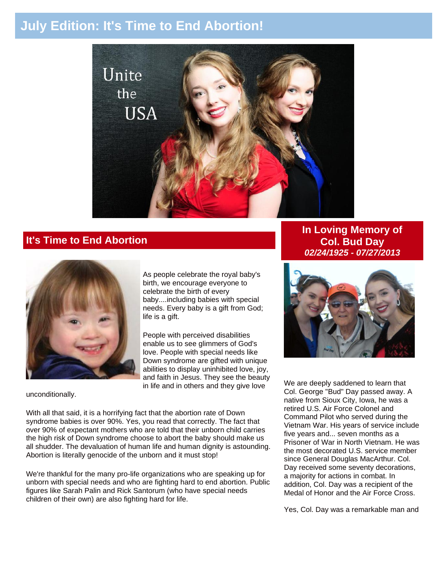# **July Edition: It's Time to End Abortion!**



### **It's Time to End Abortion**



As people celebrate the royal baby's birth, we encourage everyone to celebrate the birth of every baby....including babies with special needs. Every baby is a gift from God; life is a gift.

People with perceived disabilities enable us to see glimmers of God's love. People with special needs like Down syndrome are gifted with unique abilities to display uninhibited love, joy, and faith in Jesus. They see the beauty in life and in others and they give love

unconditionally.

With all that said, it is a horrifying fact that the abortion rate of Down syndrome babies is over 90%. Yes, you read that correctly. The fact that over 90% of expectant mothers who are told that their unborn child carries the high risk of Down syndrome choose to abort the baby should make us all shudder. The devaluation of human life and human dignity is astounding. Abortion is literally genocide of the unborn and it must stop!

We're thankful for the many pro-life organizations who are speaking up for unborn with special needs and who are fighting hard to end abortion. Public figures like Sarah Palin and Rick Santorum (who have special needs children of their own) are also fighting hard for life.

**In Loving Memory of Col. Bud Day** *02/24/1925 - 07/27/2013*



We are deeply saddened to learn that Col. George "Bud" Day passed away. A native from Sioux City, Iowa, he was a retired U.S. Air Force Colonel and Command Pilot who served during the Vietnam War. His years of service include five years and... seven months as a Prisoner of War in North Vietnam. He was the most decorated U.S. service member since General Douglas MacArthur. Col. Day received some seventy decorations, a majority for actions in combat. In addition, Col. Day was a recipient of the Medal of Honor and the Air Force Cross.

Yes, Col. Day was a remarkable man and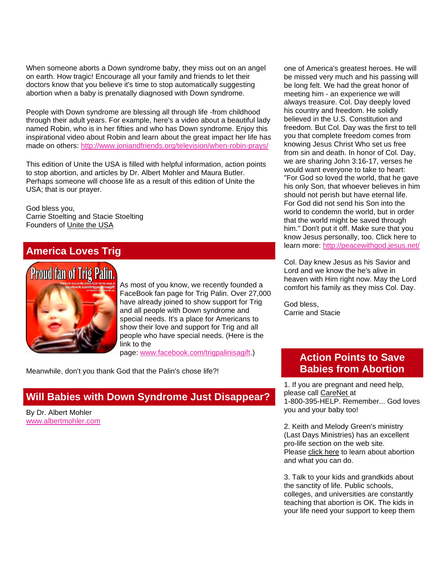When someone aborts a Down syndrome baby, they miss out on an angel on earth. How tragic! Encourage all your family and friends to let their doctors know that you believe it's time to stop automatically suggesting abortion when a baby is prenatally diagnosed with Down syndrome.

People with Down syndrome are blessing all through life -from childhood through their adult years. For example, here's a video about a beautiful lady named Robin, who is in her fifties and who has Down syndrome. Enjoy this inspirational video about Robin and learn about the great impact her life has made on others: [http://www.joniandfriends.org/television/when-robin-prays/](http://r20.rs6.net/tn.jsp?e=001salfXsZnMnngI08LO5igdY6a1Vy7GtXG1huBXx65MkMFnEKjAI5sCVkj9LKAzhrBdt5YU4JVFArJpjGawmbSRTj-XR99jgCt8xJfrvWYQu1jCkgs8x5J0smc9-DpDMWwgHDs_1qa8DFjBxmtM2PA5AYLTXeaGPXH)

This edition of Unite the USA is filled with helpful information, action points to stop abortion, and articles by Dr. Albert Mohler and Maura Butler. Perhaps someone will choose life as a result of this edition of Unite the USA; that is our prayer.

God bless you, Carrie Stoelting and Stacie Stoelting Founders of [Unite the USA](http://unitetheusa.org/index.html)

# **America Loves Trig**



As most of you know, we recently founded a FaceBook fan page for Trig Palin. Over 27,000 have already joined to show support for Trig and all people with Down syndrome and special needs. It's a place for Americans to show their love and support for Trig and all people who have special needs. (Here is the link to the

page: [www.facebook.com/trigpalinisagift.](http://r20.rs6.net/tn.jsp?e=001salfXsZnMnngI08LO5igdY6a1Vy7GtXG1huBXx65MkMFnEKjAI5sCVkj9LKAzhrBdt5YU4JVFArp-OTm4lJgxCa7245RPk5a0ywUtDJZoucLzIdnPH9c_RYMQv1c2Y_H))

Meanwhile, don't you thank God that the Palin's chose life?!

### **Will Babies with Down Syndrome Just Disappear?**

By Dr. Albert Mohler [www.albertmohler.com](http://r20.rs6.net/tn.jsp?e=001salfXsZnMnngI08LO5igdY6a1Vy7GtXG1huBXx65MkMFnEKjAI5sCVkj9LKAzhrBdt5YU4JVFAr0w6a7mR6-YyuaBk4-x4Rgu0utzwlPANk=)  one of America's greatest heroes. He will be missed very much and his passing will be long felt. We had the great honor of meeting him - an experience we will always treasure. Col. Day deeply loved his country and freedom. He solidly believed in the U.S. Constitution and freedom. But Col. Day was the first to tell you that complete freedom comes from knowing Jesus Christ Who set us free from sin and death. In honor of Col. Day, we are sharing John 3:16-17, verses he would want everyone to take to heart: "For God so loved the world, that he gave his only Son, that whoever believes in him should not perish but have eternal life. For God did not send his Son into the world to condemn the world, but in order that the world might be saved through him." Don't put it off. Make sure that you know Jesus personally, too. Click here to learn more: [http://peacewithgod.jesus.net/](http://r20.rs6.net/tn.jsp?e=001salfXsZnMnngI08LO5igdY6a1Vy7GtXG1huBXx65MkMFnEKjAI5sCVkj9LKAzhrBdt5YU4JVFApDua03nbfTuSfmMqU5zVQTapEP8qH1S5uxj7beshG4Qw==)

Col. Day knew Jesus as his Savior and Lord and we know the he's alive in heaven with Him right now. May the Lord comfort his family as they miss Col. Day.

God bless, Carrie and Stacie

## **Action Points to Save Babies from Abortion**

1. If you are pregnant and need help, please call [CareNet](http://www.care-net.org/) at 1-800-395-HELP. Remember... God loves you and your baby too!

2. Keith and Melody Green's ministry (Last Days Ministries) has an excellent pro-life section on the web site. Please [click here](http://www.lastdaysministries.org/Groups/1000012278/Last_Days_Ministries/AAA_Pro_Life/AAA_Pro_Life.aspx) to learn about abortion and what you can do.

3. Talk to your kids and grandkids about the sanctity of life. Public schools, colleges, and universities are constantly teaching that abortion is OK. The kids in your life need your support to keep them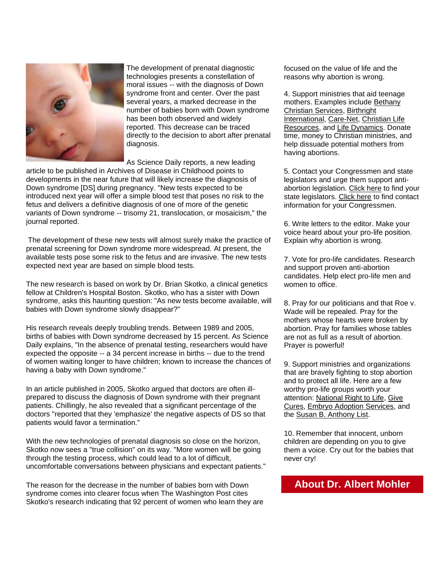

The development of prenatal diagnostic technologies presents a constellation of moral issues -- with the diagnosis of Down syndrome front and center. Over the past several years, a marked decrease in the number of babies born with Down syndrome has been both observed and widely reported. This decrease can be traced directly to the decision to abort after prenatal diagnosis.

As Science Daily reports, a new leading

article to be published in Archives of Disease in Childhood points to developments in the near future that will likely increase the diagnosis of Down syndrome [DS] during pregnancy. "New tests expected to be introduced next year will offer a simple blood test that poses no risk to the fetus and delivers a definitive diagnosis of one of more of the genetic variants of Down syndrome -- trisomy 21, translocation, or mosaicism," the journal reported.

The development of these new tests will almost surely make the practice of prenatal screening for Down syndrome more widespread. At present, the available tests pose some risk to the fetus and are invasive. The new tests expected next year are based on simple blood tests.

The new research is based on work by Dr. Brian Skotko, a clinical genetics fellow at Children's Hospital Boston. Skotko, who has a sister with Down syndrome, asks this haunting question: "As new tests become available, will babies with Down syndrome slowly disappear?"

His research reveals deeply troubling trends. Between 1989 and 2005, births of babies with Down syndrome decreased by 15 percent. As Science Daily explains, "In the absence of prenatal testing, researchers would have expected the opposite -- a 34 percent increase in births -- due to the trend of women waiting longer to have children; known to increase the chances of having a baby with Down syndrome."

In an article published in 2005, Skotko argued that doctors are often illprepared to discuss the diagnosis of Down syndrome with their pregnant patients. Chillingly, he also revealed that a significant percentage of the doctors "reported that they 'emphasize' the negative aspects of DS so that patients would favor a termination."

With the new technologies of prenatal diagnosis so close on the horizon, Skotko now sees a "true collision" on its way. "More women will be going through the testing process, which could lead to a lot of difficult, uncomfortable conversations between physicians and expectant patients."

The reason for the decrease in the number of babies born with Down syndrome comes into clearer focus when The Washington Post cites Skotko's research indicating that 92 percent of women who learn they are focused on the value of life and the reasons why abortion is wrong.

4. Support ministries that aid teenage mothers. Examples include [Bethany](http://www.bethany.org/)  [Christian Services,](http://www.bethany.org/) [Birthright](http://birthright.org/en/)  [International,](http://birthright.org/en/) [Care-Net,](http://www.care-net.org/) [Christian Life](http://www.christianliferesources.com/)  [Resources,](http://www.christianliferesources.com/) and [Life Dynamics.](http://www.lifedynamics.com/) Donate time, money to Christian ministries, and help dissuade potential mothers from having abortions.

5. Contact your Congressmen and state legislators and urge them support antiabortion legislation. [Click here](http://www.ncsl.org/about-us/ncslservice/state-legislative-websites-directory.aspx) to find your state legislators. [Click here](http://beta.congress.gov/members) to find contact information for your Congressmen.

6. Write letters to the editor. Make your voice heard about your pro-life position. Explain why abortion is wrong.

7. Vote for pro-life candidates. Research and support proven anti-abortion candidates. Help elect pro-life men and women to office.

8. Pray for our politicians and that Roe v. Wade will be repealed. Pray for the mothers whose hearts were broken by abortion. Pray for families whose tables are not as full as a result of abortion. Prayer is powerful!

9. Support ministries and organizations that are bravely fighting to stop abortion and to protect all life. Here are a few worthy pro-life groups worth your attention: [National Right to Life,](http://www.nrlc.org/) [Give](http://www.givecures.org/)  [Cures,](http://www.givecures.org/) [Embryo Adoption Services,](http://adoptembryos.org/) and the [Susan B. Anthony List.](http://www.sba-list.org/)

10. Remember that innocent, unborn children are depending on you to give them a voice. Cry out for the babies that never cry!

## **About Dr. Albert Mohler**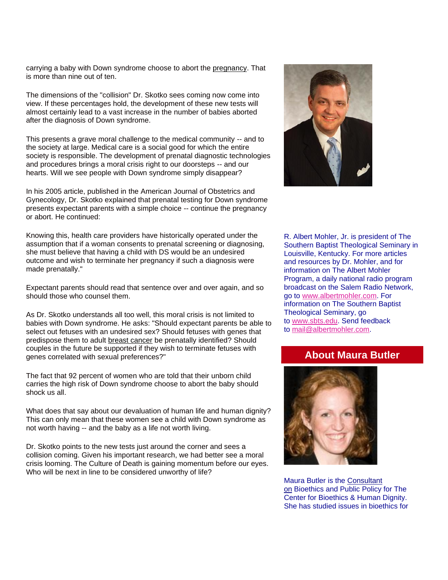carrying a baby with Down syndrome choose to abort the [pregnancy.](http://unitetheusa.org/id100.html) That is more than nine out of ten.

The dimensions of the "collision" Dr. Skotko sees coming now come into view. If these percentages hold, the development of these new tests will almost certainly lead to a vast increase in the number of babies aborted after the diagnosis of Down syndrome.

This presents a grave moral challenge to the medical community -- and to the society at large. Medical care is a social good for which the entire society is responsible. The development of prenatal diagnostic technologies and procedures brings a moral crisis right to our doorsteps -- and our hearts. Will we see people with Down syndrome simply disappear?

In his 2005 article, published in the American Journal of Obstetrics and Gynecology, Dr. Skotko explained that prenatal testing for Down syndrome presents expectant parents with a simple choice -- continue the pregnancy or abort. He continued:

Knowing this, health care providers have historically operated under the assumption that if a woman consents to prenatal screening or diagnosing, she must believe that having a child with DS would be an undesired outcome and wish to terminate her pregnancy if such a diagnosis were made prenatally."

Expectant parents should read that sentence over and over again, and so should those who counsel them.

As Dr. Skotko understands all too well, this moral crisis is not limited to babies with Down syndrome. He asks: "Should expectant parents be able to select out fetuses with an undesired sex? Should fetuses with genes that predispose them to adult [breast cancer](http://unitetheusa.org/id100.html) be prenatally identified? Should couples in the future be supported if they wish to terminate fetuses with genes correlated with sexual preferences?"

The fact that 92 percent of women who are told that their unborn child carries the high risk of Down syndrome choose to abort the baby should shock us all.

What does that say about our devaluation of human life and human dignity? This can only mean that these women see a child with Down syndrome as not worth having -- and the baby as a life not worth living.

Dr. Skotko points to the new tests just around the corner and sees a collision coming. Given his important research, we had better see a moral crisis looming. The Culture of Death is gaining momentum before our eyes. Who will be next in line to be considered unworthy of life?



R. Albert Mohler, Jr. is president of The Southern Baptist Theological Seminary in Louisville, Kentucky. For more articles and resources by Dr. Mohler, and for information on The Albert Mohler Program, a daily national radio program broadcast on the Salem Radio Network, go to [www.albertmohler.com.](http://unitetheusa.org/id100.html) For information on The Southern Baptist Theological Seminary, go to [www.sbts.edu.](http://r20.rs6.net/tn.jsp?e=001salfXsZnMnngI08LO5igdY6a1Vy7GtXG1huBXx65MkMFnEKjAI5sCVkj9LKAzhrBdt5YU4JVFAouxjOf4BXrTsHjX6lLByaU) Send feedback to [mail@albertmohler.com.](http://unitetheusa.org/id100.html)

### **About Maura Butler**



Maura Butler is the [Consultant](http://unitetheusa.org/id100.html)  [on](http://unitetheusa.org/id100.html) Bioethics and Public Policy for The Center for Bioethics & Human Dignity. She has studied issues in bioethics for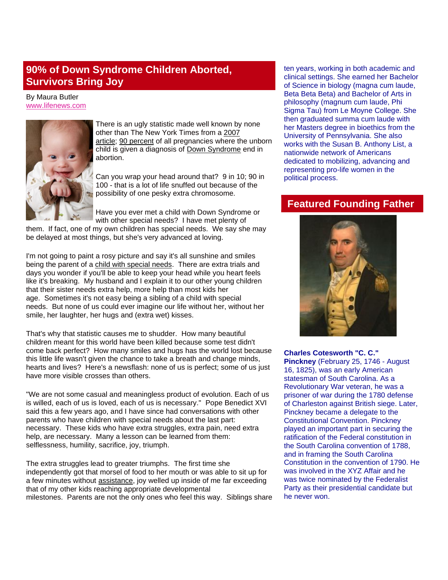# **90% of Down Syndrome Children Aborted, Survivors Bring Joy**

By Maura Butler [www.lifenews.com](http://r20.rs6.net/tn.jsp?e=001salfXsZnMnngI08LO5igdY6a1Vy7GtXG1huBXx65MkMFnEKjAI5sCVkj9LKAzhrBdt5YU4JVFAqlhntzI83YpIq40vv3edJw4zOKXKuEj8Y=)



There is an ugly statistic made well known by none other than The New York Times from a [2007](http://unitetheusa.org/id100.html)  [article;](http://unitetheusa.org/id100.html) [90 percent](http://unitetheusa.org/id100.html) of all pregnancies where the unborn child is given a diagnosis of [Down Syndrome](http://unitetheusa.org/id100.html) end in abortion.

Can you wrap your head around that? 9 in 10; 90 in 100 - that is a lot of life snuffed out because of the possibility of one pesky extra chromosome.

Have you ever met a child with Down Syndrome or with other special needs? I have met plenty of

them. If fact, one of my own children has special needs. We say she may be delayed at most things, but she's very advanced at loving.

I'm not going to paint a rosy picture and say it's all sunshine and smiles being the parent of a [child with special needs.](http://unitetheusa.org/id100.html) There are extra trials and days you wonder if you'll be able to keep your head while you heart feels like it's breaking. My husband and I explain it to our other young children that their sister needs extra help, more help than most kids her age. Sometimes it's not easy being a sibling of a child with special needs. But none of us could ever imagine our life without her, without her smile, her laughter, her hugs and (extra wet) kisses.

That's why that statistic causes me to shudder. How many beautiful children meant for this world have been killed because some test didn't come back perfect? How many smiles and hugs has the world lost because this little life wasn't given the chance to take a breath and change minds, hearts and lives? Here's a newsflash: none of us is perfect; some of us just have more visible crosses than others.

"We are not some casual and meaningless product of evolution. Each of us is willed, each of us is loved, each of us is necessary." Pope Benedict XVI said this a few years ago, and I have since had conversations with other parents who have children with special needs about the last part: necessary. These kids who have extra struggles, extra pain, need extra help, are necessary. Many a lesson can be learned from them: selflessness, humility, sacrifice, joy, triumph.

The extra struggles lead to greater triumphs. The first time she independently got that morsel of food to her mouth or was able to sit up for a few minutes without [assistance,](http://unitetheusa.org/id100.html) joy welled up inside of me far exceeding that of my other kids reaching appropriate developmental milestones. Parents are not the only ones who feel this way. Siblings share ten years, working in both academic and clinical settings. She earned her Bachelor of Science in biology (magna cum laude, Beta Beta Beta) and Bachelor of Arts in philosophy (magnum cum laude, Phi Sigma Tau) from Le Movne College. She then graduated summa cum laude with her Masters degree in bioethics from the University of Pennsylvania. She also works with the Susan B. Anthony List, a nationwide network of Americans dedicated to mobilizing, advancing and representing pro-life women in the political process.

# **Featured Founding Father**



#### **Charles Cotesworth "C. C."**

**Pinckney** (February 25, 1746 - August 16, 1825), was an early American statesman of South Carolina. As a Revolutionary War veteran, he was a prisoner of war during the 1780 defense of Charleston against British siege. Later, Pinckney became a delegate to the Constitutional Convention. Pinckney played an important part in securing the ratification of the Federal constitution in the South Carolina convention of 1788, and in framing the South Carolina Constitution in the convention of 1790. He was involved in the XYZ Affair and he was twice nominated by the Federalist Party as their presidential candidate but he never won.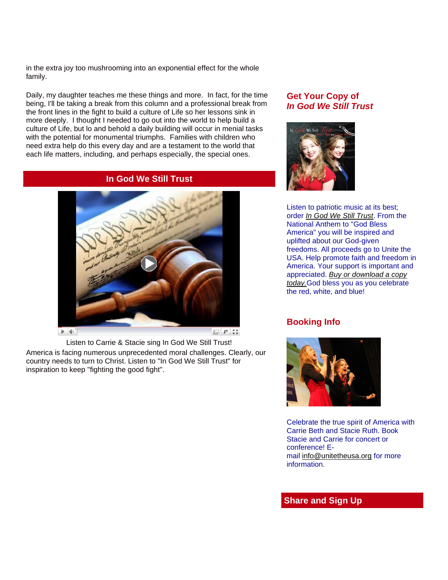in the extra joy too mushrooming into an exponential effect for the whole family.

Daily, my daughter teaches me these things and more. In fact, for the time being, I'll be taking a break from this column and a professional break from the front lines in the fight to build a culture of Life so her lessons sink in more deeply. I thought I needed to go out into the world to help build a culture of Life, but lo and behold a daily building will occur in menial tasks with the potential for monumental triumphs. Families with children who need extra help do this every day and are a testament to the world that each life matters, including, and perhaps especially, the special ones.

#### **In God We Still Trust**



Listen to Carrie & Stacie sing In God We Still Trust!

America is facing numerous unprecedented moral challenges. Clearly, our country needs to turn to Christ. Listen to "In God We Still Trust" for inspiration to keep "fighting the good fight".

#### **Get Your Copy of** *In God We Still Trust*



Listen to patriotic music at its best; order *[In God We Still Trust](http://r20.rs6.net/tn.jsp?e=001salfXsZnMnngI08LO5igdY6a1Vy7GtXG1huBXx65MkMFnEKjAI5sCVkj9LKAzhrBdt5YU4JVFApEPY-uZVDo_8KgpRl58NmetFOQ-rHGKpzqA8P5LwIrYg==)*. From the National Anthem to "God Bless America" you will be inspired and uplifted about our God-given freedoms. All proceeds go to Unite the USA. Help promote faith and freedom in America. Your support is important and appreciated. *[Buy or download a copy](http://r20.rs6.net/tn.jsp?e=001salfXsZnMnngI08LO5igdY6a1Vy7GtXG1huBXx65MkMFnEKjAI5sCVkj9LKAzhrBdt5YU4JVFAqakRQox_uEBqwuDXESIHAHXcKgNDftAfqthl4U0cVja7boRLiXI9-i)  [today.](http://r20.rs6.net/tn.jsp?e=001salfXsZnMnngI08LO5igdY6a1Vy7GtXG1huBXx65MkMFnEKjAI5sCVkj9LKAzhrBdt5YU4JVFAqakRQox_uEBqwuDXESIHAHXcKgNDftAfqthl4U0cVja7boRLiXI9-i)*God bless you as you celebrate the red, white, and blue!

### **Booking Info**



Celebrate the true spirit of America with Carrie Beth and Stacie Ruth. Book Stacie and Carrie for concert or conference! Email [info@unitetheusa.org](mailto:info@unitetheusa.org) for more information.

### **Share and Sign Up**